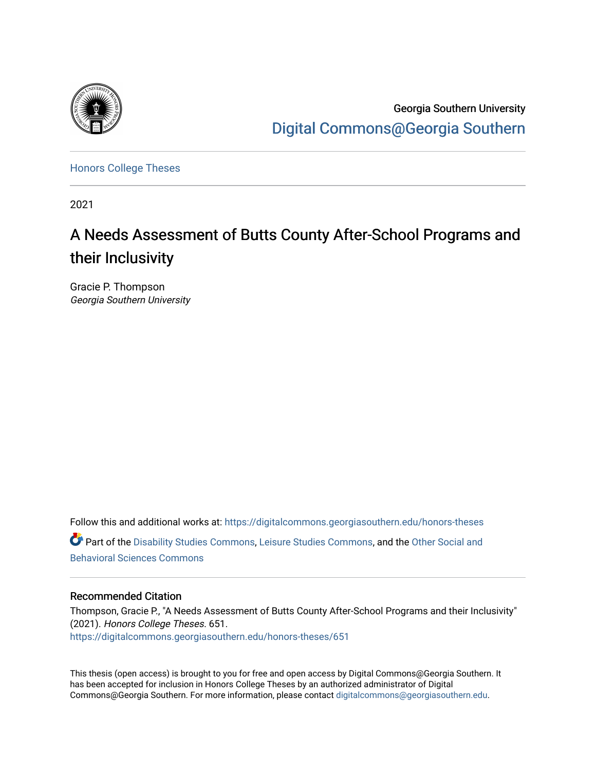

Georgia Southern University [Digital Commons@Georgia Southern](https://digitalcommons.georgiasouthern.edu/) 

[Honors College Theses](https://digitalcommons.georgiasouthern.edu/honors-theses) 

2021

# A Needs Assessment of Butts County After-School Programs and their Inclusivity

Gracie P. Thompson Georgia Southern University

Follow this and additional works at: [https://digitalcommons.georgiasouthern.edu/honors-theses](https://digitalcommons.georgiasouthern.edu/honors-theses?utm_source=digitalcommons.georgiasouthern.edu%2Fhonors-theses%2F651&utm_medium=PDF&utm_campaign=PDFCoverPages) Part of the [Disability Studies Commons](http://network.bepress.com/hgg/discipline/1417?utm_source=digitalcommons.georgiasouthern.edu%2Fhonors-theses%2F651&utm_medium=PDF&utm_campaign=PDFCoverPages), [Leisure Studies Commons](http://network.bepress.com/hgg/discipline/1197?utm_source=digitalcommons.georgiasouthern.edu%2Fhonors-theses%2F651&utm_medium=PDF&utm_campaign=PDFCoverPages), and the [Other Social and](http://network.bepress.com/hgg/discipline/437?utm_source=digitalcommons.georgiasouthern.edu%2Fhonors-theses%2F651&utm_medium=PDF&utm_campaign=PDFCoverPages) [Behavioral Sciences Commons](http://network.bepress.com/hgg/discipline/437?utm_source=digitalcommons.georgiasouthern.edu%2Fhonors-theses%2F651&utm_medium=PDF&utm_campaign=PDFCoverPages) 

## Recommended Citation

Thompson, Gracie P., "A Needs Assessment of Butts County After-School Programs and their Inclusivity" (2021). Honors College Theses. 651. [https://digitalcommons.georgiasouthern.edu/honors-theses/651](https://digitalcommons.georgiasouthern.edu/honors-theses/651?utm_source=digitalcommons.georgiasouthern.edu%2Fhonors-theses%2F651&utm_medium=PDF&utm_campaign=PDFCoverPages)

This thesis (open access) is brought to you for free and open access by Digital Commons@Georgia Southern. It has been accepted for inclusion in Honors College Theses by an authorized administrator of Digital Commons@Georgia Southern. For more information, please contact [digitalcommons@georgiasouthern.edu](mailto:digitalcommons@georgiasouthern.edu).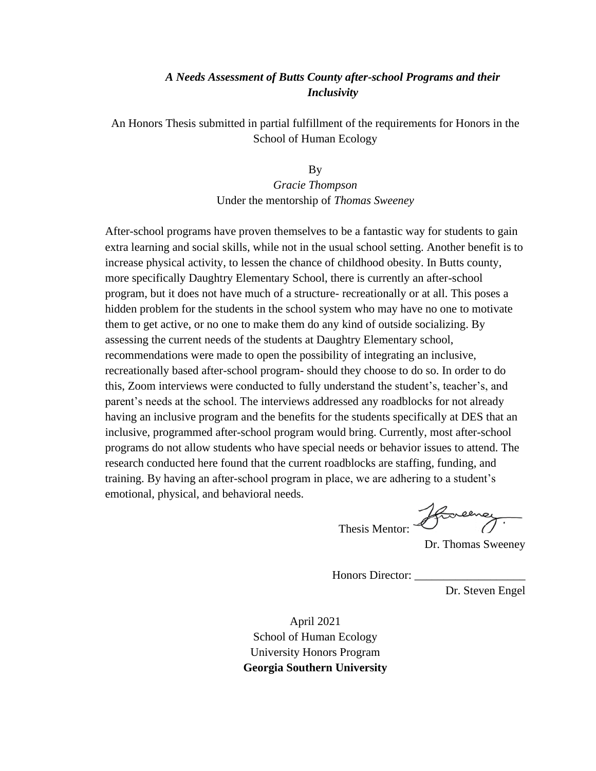## *A Needs Assessment of Butts County after-school Programs and their Inclusivity*

An Honors Thesis submitted in partial fulfillment of the requirements for Honors in the School of Human Ecology

> By *Gracie Thompson*  Under the mentorship of *Thomas Sweeney*

After-school programs have proven themselves to be a fantastic way for students to gain extra learning and social skills, while not in the usual school setting. Another benefit is to increase physical activity, to lessen the chance of childhood obesity. In Butts county, more specifically Daughtry Elementary School, there is currently an after-school program, but it does not have much of a structure- recreationally or at all. This poses a hidden problem for the students in the school system who may have no one to motivate them to get active, or no one to make them do any kind of outside socializing. By assessing the current needs of the students at Daughtry Elementary school, recommendations were made to open the possibility of integrating an inclusive, recreationally based after-school program- should they choose to do so. In order to do this, Zoom interviews were conducted to fully understand the student's, teacher's, and parent's needs at the school. The interviews addressed any roadblocks for not already having an inclusive program and the benefits for the students specifically at DES that an inclusive, programmed after-school program would bring. Currently, most after-school programs do not allow students who have special needs or behavior issues to attend. The research conducted here found that the current roadblocks are staffing, funding, and training. By having an after-school program in place, we are adhering to a student's emotional, physical, and behavioral needs.

Thesis Mentor:

Dr. Thomas Sweeney

Honors Director:

Dr. Steven Engel

April 2021 School of Human Ecology University Honors Program **Georgia Southern University**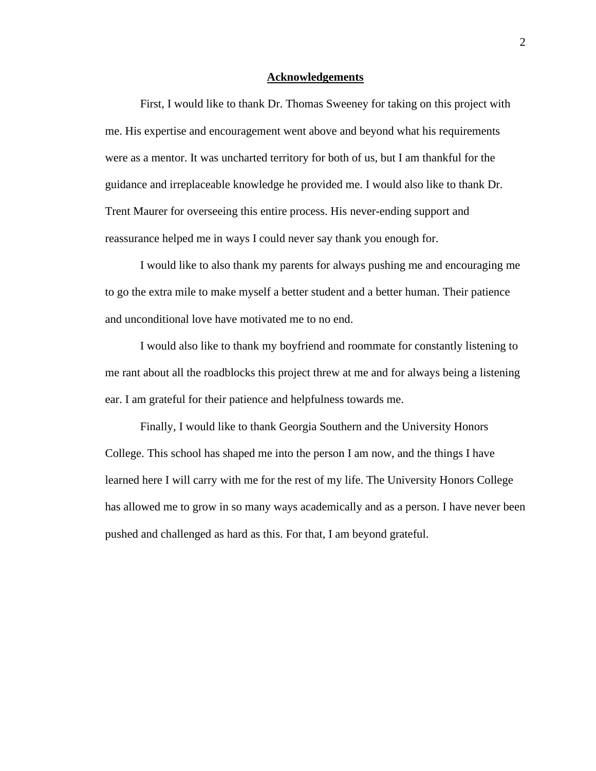#### **Acknowledgements**

 First, I would like to thank Dr. Thomas Sweeney for taking on this project with me. His expertise and encouragement went above and beyond what his requirements were as a mentor. It was uncharted territory for both of us, but I am thankful for the guidance and irreplaceable knowledge he provided me. I would also like to thank Dr. Trent Maurer for overseeing this entire process. His never-ending support and reassurance helped me in ways I could never say thank you enough for.

 I would like to also thank my parents for always pushing me and encouraging me to go the extra mile to make myself a better student and a better human. Their patience and unconditional love have motivated me to no end.

 I would also like to thank my boyfriend and roommate for constantly listening to me rant about all the roadblocks this project threw at me and for always being a listening ear. I am grateful for their patience and helpfulness towards me.

 Finally, I would like to thank Georgia Southern and the University Honors College. This school has shaped me into the person I am now, and the things I have learned here I will carry with me for the rest of my life. The University Honors College has allowed me to grow in so many ways academically and as a person. I have never been pushed and challenged as hard as this. For that, I am beyond grateful.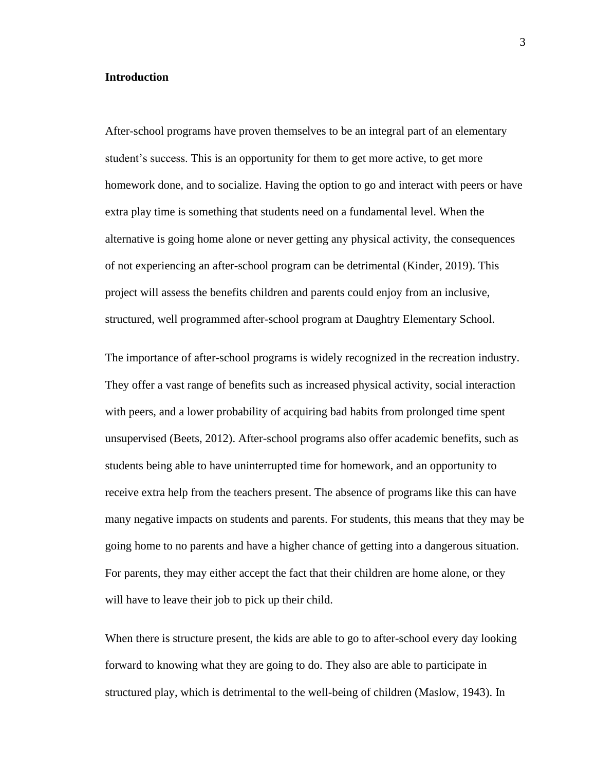#### **Introduction**

After-school programs have proven themselves to be an integral part of an elementary student's success. This is an opportunity for them to get more active, to get more homework done, and to socialize. Having the option to go and interact with peers or have extra play time is something that students need on a fundamental level. When the alternative is going home alone or never getting any physical activity, the consequences of not experiencing an after-school program can be detrimental (Kinder, 2019). This project will assess the benefits children and parents could enjoy from an inclusive, structured, well programmed after-school program at Daughtry Elementary School.

The importance of after-school programs is widely recognized in the recreation industry. They offer a vast range of benefits such as increased physical activity, social interaction with peers, and a lower probability of acquiring bad habits from prolonged time spent unsupervised (Beets, 2012). After-school programs also offer academic benefits, such as students being able to have uninterrupted time for homework, and an opportunity to receive extra help from the teachers present. The absence of programs like this can have many negative impacts on students and parents. For students, this means that they may be going home to no parents and have a higher chance of getting into a dangerous situation. For parents, they may either accept the fact that their children are home alone, or they will have to leave their job to pick up their child.

When there is structure present, the kids are able to go to after-school every day looking forward to knowing what they are going to do. They also are able to participate in structured play, which is detrimental to the well-being of children (Maslow, 1943). In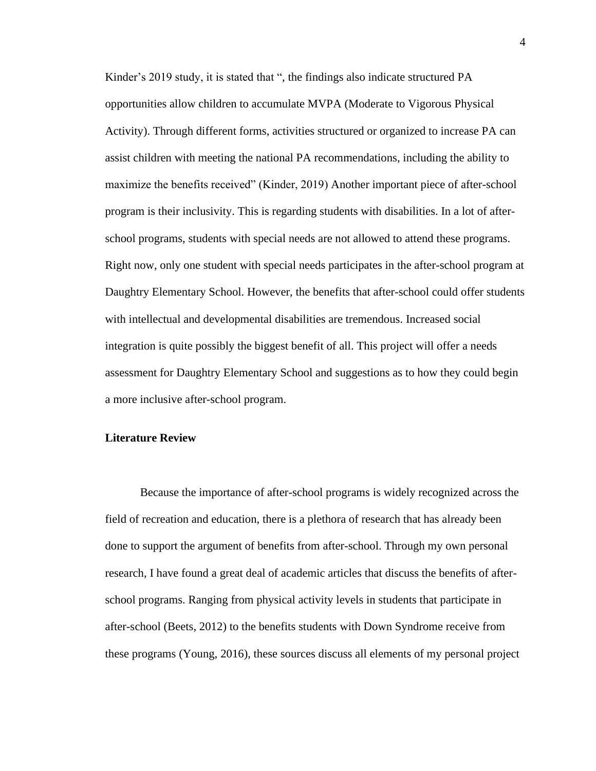Kinder's 2019 study, it is stated that ", the findings also indicate structured PA opportunities allow children to accumulate MVPA (Moderate to Vigorous Physical Activity). Through different forms, activities structured or organized to increase PA can assist children with meeting the national PA recommendations, including the ability to maximize the benefits received" (Kinder, 2019) Another important piece of after-school program is their inclusivity. This is regarding students with disabilities. In a lot of afterschool programs, students with special needs are not allowed to attend these programs. Right now, only one student with special needs participates in the after-school program at Daughtry Elementary School. However, the benefits that after-school could offer students with intellectual and developmental disabilities are tremendous. Increased social integration is quite possibly the biggest benefit of all. This project will offer a needs assessment for Daughtry Elementary School and suggestions as to how they could begin a more inclusive after-school program.

## **Literature Review**

 Because the importance of after-school programs is widely recognized across the field of recreation and education, there is a plethora of research that has already been done to support the argument of benefits from after-school. Through my own personal research, I have found a great deal of academic articles that discuss the benefits of afterschool programs. Ranging from physical activity levels in students that participate in after-school (Beets, 2012) to the benefits students with Down Syndrome receive from these programs (Young, 2016), these sources discuss all elements of my personal project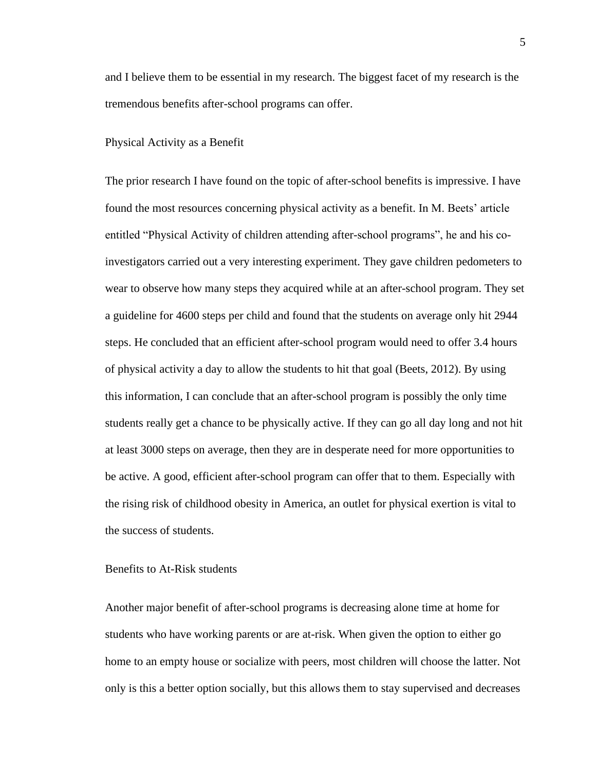and I believe them to be essential in my research. The biggest facet of my research is the tremendous benefits after-school programs can offer.

#### Physical Activity as a Benefit

The prior research I have found on the topic of after-school benefits is impressive. I have found the most resources concerning physical activity as a benefit. In M. Beets' article entitled "Physical Activity of children attending after-school programs", he and his coinvestigators carried out a very interesting experiment. They gave children pedometers to wear to observe how many steps they acquired while at an after-school program. They set a guideline for 4600 steps per child and found that the students on average only hit 2944 steps. He concluded that an efficient after-school program would need to offer 3.4 hours of physical activity a day to allow the students to hit that goal (Beets, 2012). By using this information, I can conclude that an after-school program is possibly the only time students really get a chance to be physically active. If they can go all day long and not hit at least 3000 steps on average, then they are in desperate need for more opportunities to be active. A good, efficient after-school program can offer that to them. Especially with the rising risk of childhood obesity in America, an outlet for physical exertion is vital to the success of students.

## Benefits to At-Risk students

Another major benefit of after-school programs is decreasing alone time at home for students who have working parents or are at-risk. When given the option to either go home to an empty house or socialize with peers, most children will choose the latter. Not only is this a better option socially, but this allows them to stay supervised and decreases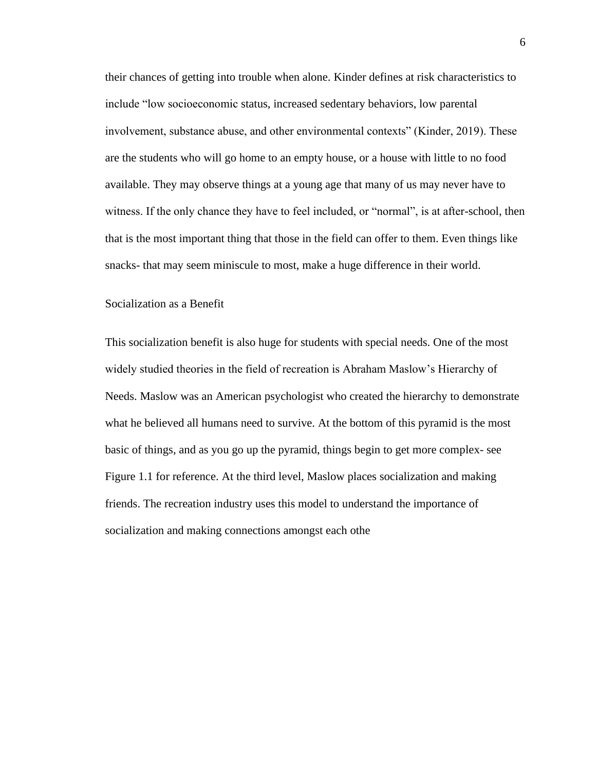their chances of getting into trouble when alone. Kinder defines at risk characteristics to include "low socioeconomic status, increased sedentary behaviors, low parental involvement, substance abuse, and other environmental contexts" (Kinder, 2019). These are the students who will go home to an empty house, or a house with little to no food available. They may observe things at a young age that many of us may never have to witness. If the only chance they have to feel included, or "normal", is at after-school, then that is the most important thing that those in the field can offer to them. Even things like snacks- that may seem miniscule to most, make a huge difference in their world.

#### Socialization as a Benefit

This socialization benefit is also huge for students with special needs. One of the most widely studied theories in the field of recreation is Abraham Maslow's Hierarchy of Needs. Maslow was an American psychologist who created the hierarchy to demonstrate what he believed all humans need to survive. At the bottom of this pyramid is the most basic of things, and as you go up the pyramid, things begin to get more complex- see Figure 1.1 for reference. At the third level, Maslow places socialization and making friends. The recreation industry uses this model to understand the importance of socialization and making connections amongst each othe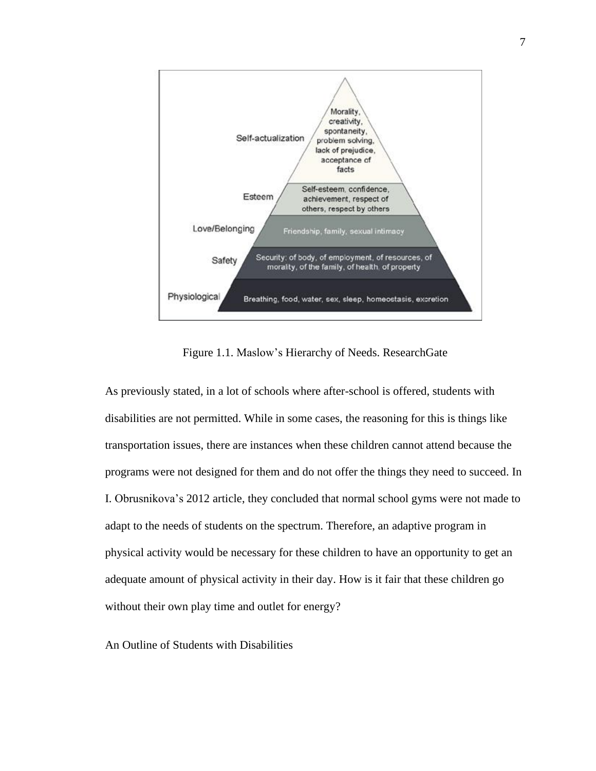

Figure 1.1. Maslow's Hierarchy of Needs. ResearchGate

As previously stated, in a lot of schools where after-school is offered, students with disabilities are not permitted. While in some cases, the reasoning for this is things like transportation issues, there are instances when these children cannot attend because the programs were not designed for them and do not offer the things they need to succeed. In I. Obrusnikova's 2012 article, they concluded that normal school gyms were not made to adapt to the needs of students on the spectrum. Therefore, an adaptive program in physical activity would be necessary for these children to have an opportunity to get an adequate amount of physical activity in their day. How is it fair that these children go without their own play time and outlet for energy?

An Outline of Students with Disabilities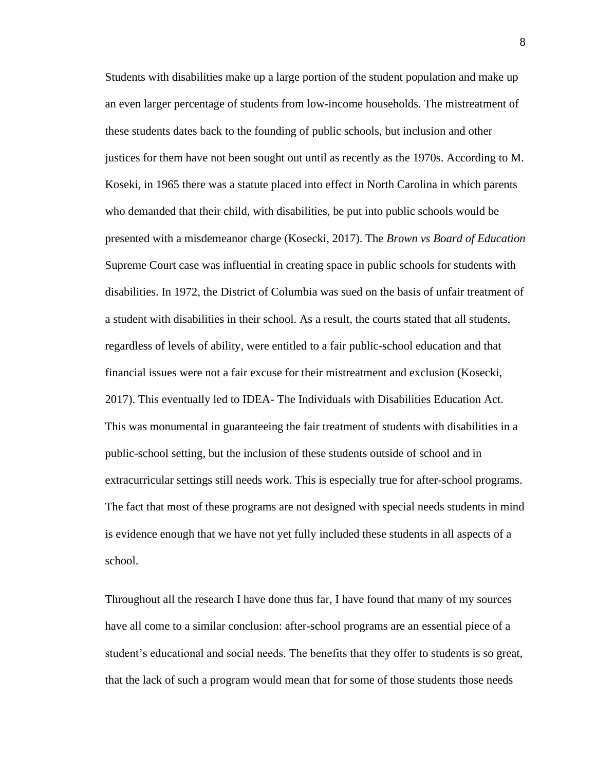Students with disabilities make up a large portion of the student population and make up an even larger percentage of students from low-income households. The mistreatment of these students dates back to the founding of public schools, but inclusion and other justices for them have not been sought out until as recently as the 1970s. According to M. Koseki, in 1965 there was a statute placed into effect in North Carolina in which parents who demanded that their child, with disabilities, be put into public schools would be presented with a misdemeanor charge (Kosecki, 2017). The *Brown vs Board of Education*  Supreme Court case was influential in creating space in public schools for students with disabilities. In 1972, the District of Columbia was sued on the basis of unfair treatment of a student with disabilities in their school. As a result, the courts stated that all students, regardless of levels of ability, were entitled to a fair public-school education and that financial issues were not a fair excuse for their mistreatment and exclusion (Kosecki, 2017). This eventually led to IDEA- The Individuals with Disabilities Education Act. This was monumental in guaranteeing the fair treatment of students with disabilities in a public-school setting, but the inclusion of these students outside of school and in extracurricular settings still needs work. This is especially true for after-school programs. The fact that most of these programs are not designed with special needs students in mind is evidence enough that we have not yet fully included these students in all aspects of a school.

Throughout all the research I have done thus far, I have found that many of my sources have all come to a similar conclusion: after-school programs are an essential piece of a student's educational and social needs. The benefits that they offer to students is so great, that the lack of such a program would mean that for some of those students those needs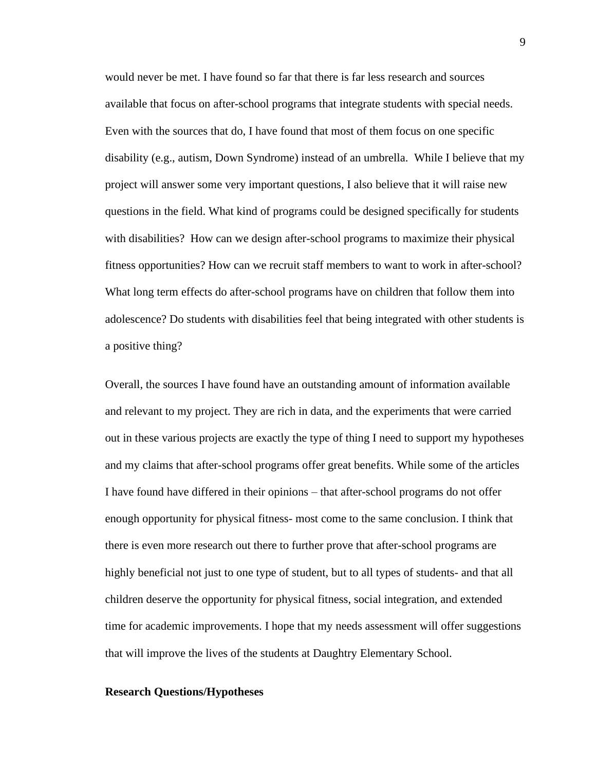would never be met. I have found so far that there is far less research and sources available that focus on after-school programs that integrate students with special needs. Even with the sources that do, I have found that most of them focus on one specific disability (e.g., autism, Down Syndrome) instead of an umbrella. While I believe that my project will answer some very important questions, I also believe that it will raise new questions in the field. What kind of programs could be designed specifically for students with disabilities? How can we design after-school programs to maximize their physical fitness opportunities? How can we recruit staff members to want to work in after-school? What long term effects do after-school programs have on children that follow them into adolescence? Do students with disabilities feel that being integrated with other students is a positive thing?

Overall, the sources I have found have an outstanding amount of information available and relevant to my project. They are rich in data, and the experiments that were carried out in these various projects are exactly the type of thing I need to support my hypotheses and my claims that after-school programs offer great benefits. While some of the articles I have found have differed in their opinions – that after-school programs do not offer enough opportunity for physical fitness- most come to the same conclusion. I think that there is even more research out there to further prove that after-school programs are highly beneficial not just to one type of student, but to all types of students- and that all children deserve the opportunity for physical fitness, social integration, and extended time for academic improvements. I hope that my needs assessment will offer suggestions that will improve the lives of the students at Daughtry Elementary School.

#### **Research Questions/Hypotheses**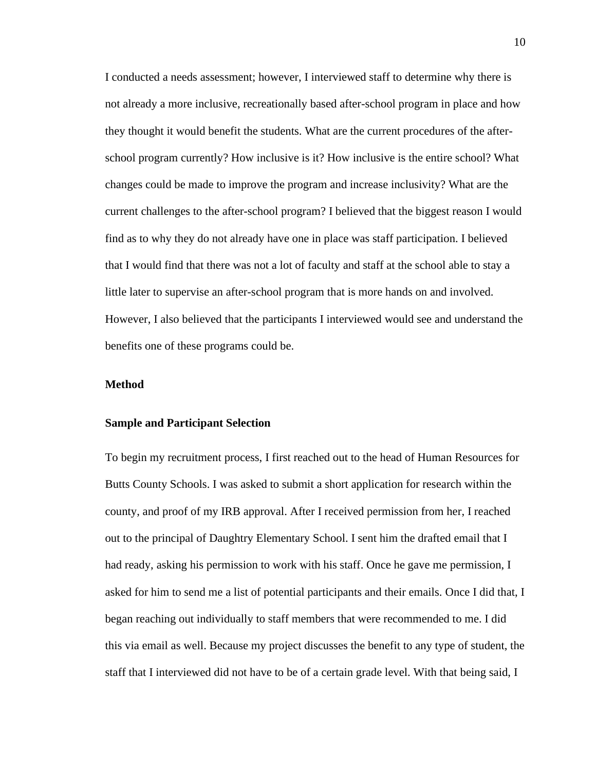I conducted a needs assessment; however, I interviewed staff to determine why there is not already a more inclusive, recreationally based after-school program in place and how they thought it would benefit the students. What are the current procedures of the afterschool program currently? How inclusive is it? How inclusive is the entire school? What changes could be made to improve the program and increase inclusivity? What are the current challenges to the after-school program? I believed that the biggest reason I would find as to why they do not already have one in place was staff participation. I believed that I would find that there was not a lot of faculty and staff at the school able to stay a little later to supervise an after-school program that is more hands on and involved. However, I also believed that the participants I interviewed would see and understand the benefits one of these programs could be.

## **Method**

#### **Sample and Participant Selection**

To begin my recruitment process, I first reached out to the head of Human Resources for Butts County Schools. I was asked to submit a short application for research within the county, and proof of my IRB approval. After I received permission from her, I reached out to the principal of Daughtry Elementary School. I sent him the drafted email that I had ready, asking his permission to work with his staff. Once he gave me permission, I asked for him to send me a list of potential participants and their emails. Once I did that, I began reaching out individually to staff members that were recommended to me. I did this via email as well. Because my project discusses the benefit to any type of student, the staff that I interviewed did not have to be of a certain grade level. With that being said, I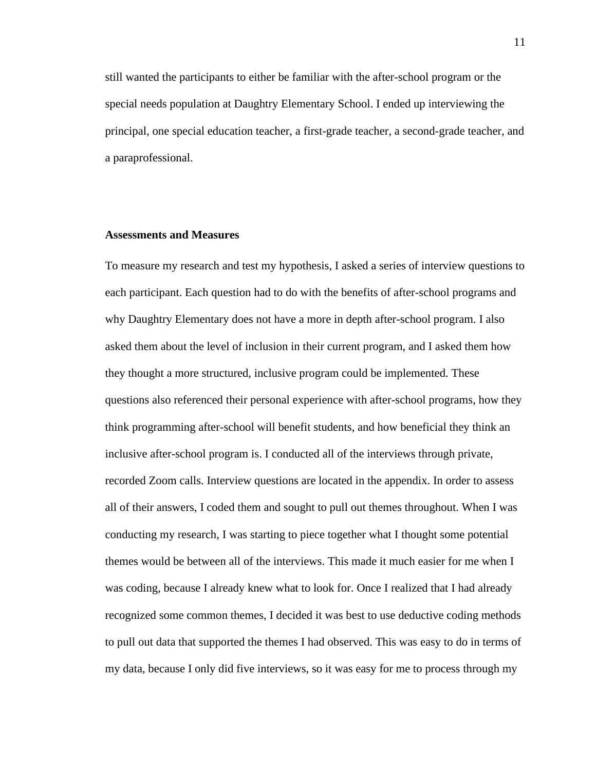still wanted the participants to either be familiar with the after-school program or the special needs population at Daughtry Elementary School. I ended up interviewing the principal, one special education teacher, a first-grade teacher, a second-grade teacher, and a paraprofessional.

### **Assessments and Measures**

To measure my research and test my hypothesis, I asked a series of interview questions to each participant. Each question had to do with the benefits of after-school programs and why Daughtry Elementary does not have a more in depth after-school program. I also asked them about the level of inclusion in their current program, and I asked them how they thought a more structured, inclusive program could be implemented. These questions also referenced their personal experience with after-school programs, how they think programming after-school will benefit students, and how beneficial they think an inclusive after-school program is. I conducted all of the interviews through private, recorded Zoom calls. Interview questions are located in the appendix. In order to assess all of their answers, I coded them and sought to pull out themes throughout. When I was conducting my research, I was starting to piece together what I thought some potential themes would be between all of the interviews. This made it much easier for me when I was coding, because I already knew what to look for. Once I realized that I had already recognized some common themes, I decided it was best to use deductive coding methods to pull out data that supported the themes I had observed. This was easy to do in terms of my data, because I only did five interviews, so it was easy for me to process through my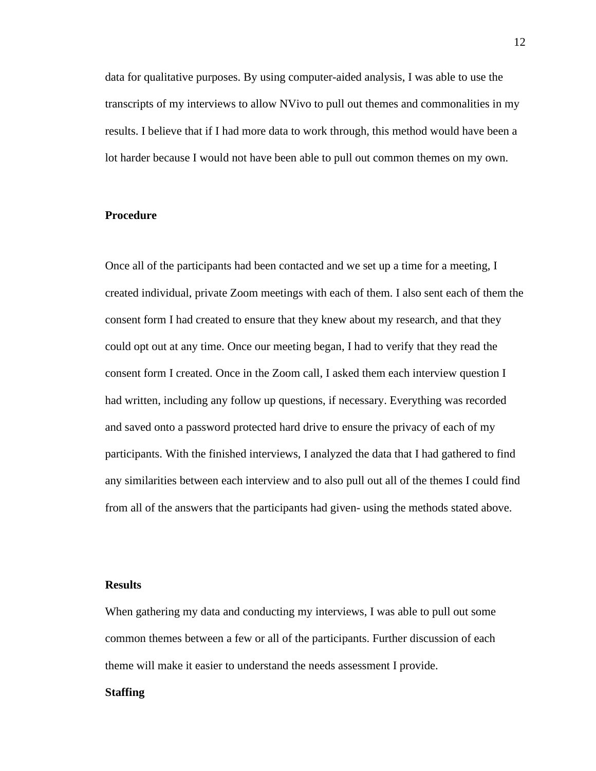data for qualitative purposes. By using computer-aided analysis, I was able to use the transcripts of my interviews to allow NVivo to pull out themes and commonalities in my results. I believe that if I had more data to work through, this method would have been a lot harder because I would not have been able to pull out common themes on my own.

## **Procedure**

Once all of the participants had been contacted and we set up a time for a meeting, I created individual, private Zoom meetings with each of them. I also sent each of them the consent form I had created to ensure that they knew about my research, and that they could opt out at any time. Once our meeting began, I had to verify that they read the consent form I created. Once in the Zoom call, I asked them each interview question I had written, including any follow up questions, if necessary. Everything was recorded and saved onto a password protected hard drive to ensure the privacy of each of my participants. With the finished interviews, I analyzed the data that I had gathered to find any similarities between each interview and to also pull out all of the themes I could find from all of the answers that the participants had given- using the methods stated above.

## **Results**

When gathering my data and conducting my interviews, I was able to pull out some common themes between a few or all of the participants. Further discussion of each theme will make it easier to understand the needs assessment I provide.

## **Staffing**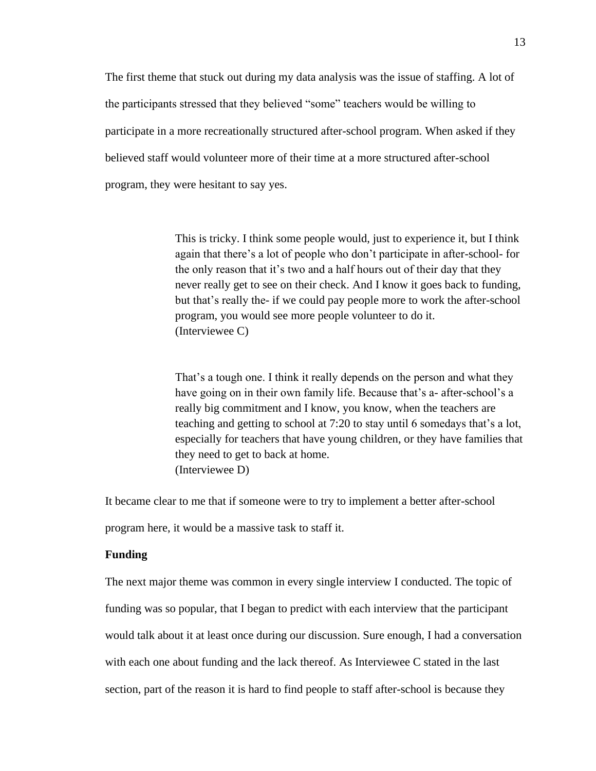The first theme that stuck out during my data analysis was the issue of staffing. A lot of the participants stressed that they believed "some" teachers would be willing to participate in a more recreationally structured after-school program. When asked if they believed staff would volunteer more of their time at a more structured after-school program, they were hesitant to say yes.

> This is tricky. I think some people would, just to experience it, but I think again that there's a lot of people who don't participate in after-school- for the only reason that it's two and a half hours out of their day that they never really get to see on their check. And I know it goes back to funding, but that's really the- if we could pay people more to work the after-school program, you would see more people volunteer to do it. (Interviewee C)

> That's a tough one. I think it really depends on the person and what they have going on in their own family life. Because that's a- after-school's a really big commitment and I know, you know, when the teachers are teaching and getting to school at 7:20 to stay until 6 somedays that's a lot, especially for teachers that have young children, or they have families that they need to get to back at home. (Interviewee D)

It became clear to me that if someone were to try to implement a better after-school

program here, it would be a massive task to staff it.

#### **Funding**

The next major theme was common in every single interview I conducted. The topic of funding was so popular, that I began to predict with each interview that the participant would talk about it at least once during our discussion. Sure enough, I had a conversation with each one about funding and the lack thereof. As Interviewee C stated in the last section, part of the reason it is hard to find people to staff after-school is because they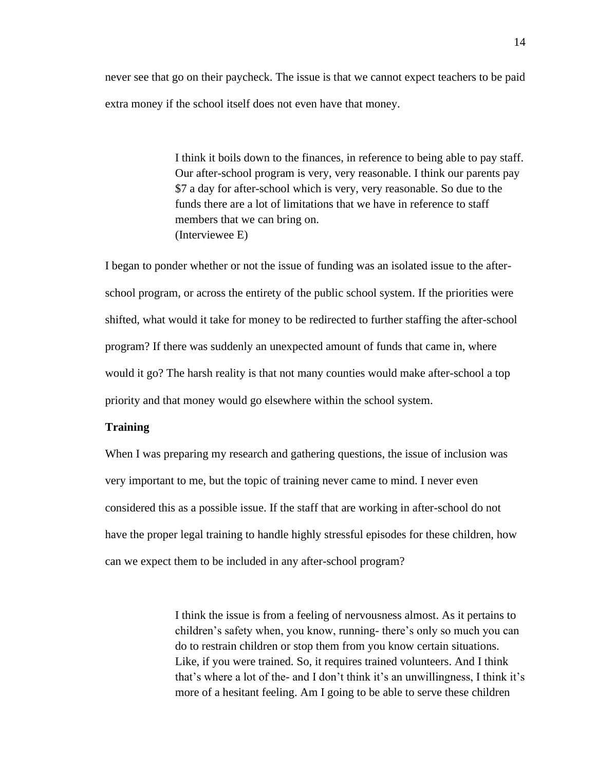never see that go on their paycheck. The issue is that we cannot expect teachers to be paid extra money if the school itself does not even have that money.

> I think it boils down to the finances, in reference to being able to pay staff. Our after-school program is very, very reasonable. I think our parents pay \$7 a day for after-school which is very, very reasonable. So due to the funds there are a lot of limitations that we have in reference to staff members that we can bring on. (Interviewee E)

I began to ponder whether or not the issue of funding was an isolated issue to the afterschool program, or across the entirety of the public school system. If the priorities were shifted, what would it take for money to be redirected to further staffing the after-school program? If there was suddenly an unexpected amount of funds that came in, where would it go? The harsh reality is that not many counties would make after-school a top priority and that money would go elsewhere within the school system.

#### **Training**

When I was preparing my research and gathering questions, the issue of inclusion was very important to me, but the topic of training never came to mind. I never even considered this as a possible issue. If the staff that are working in after-school do not have the proper legal training to handle highly stressful episodes for these children, how can we expect them to be included in any after-school program?

> I think the issue is from a feeling of nervousness almost. As it pertains to children's safety when, you know, running- there's only so much you can do to restrain children or stop them from you know certain situations. Like, if you were trained. So, it requires trained volunteers. And I think that's where a lot of the- and I don't think it's an unwillingness, I think it's more of a hesitant feeling. Am I going to be able to serve these children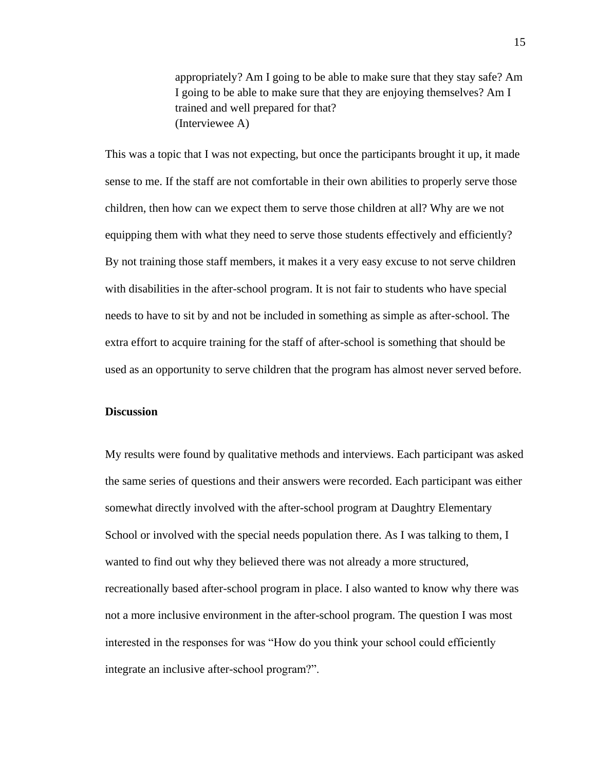appropriately? Am I going to be able to make sure that they stay safe? Am I going to be able to make sure that they are enjoying themselves? Am I trained and well prepared for that? (Interviewee A)

This was a topic that I was not expecting, but once the participants brought it up, it made sense to me. If the staff are not comfortable in their own abilities to properly serve those children, then how can we expect them to serve those children at all? Why are we not equipping them with what they need to serve those students effectively and efficiently? By not training those staff members, it makes it a very easy excuse to not serve children with disabilities in the after-school program. It is not fair to students who have special needs to have to sit by and not be included in something as simple as after-school. The extra effort to acquire training for the staff of after-school is something that should be used as an opportunity to serve children that the program has almost never served before.

#### **Discussion**

My results were found by qualitative methods and interviews. Each participant was asked the same series of questions and their answers were recorded. Each participant was either somewhat directly involved with the after-school program at Daughtry Elementary School or involved with the special needs population there. As I was talking to them, I wanted to find out why they believed there was not already a more structured, recreationally based after-school program in place. I also wanted to know why there was not a more inclusive environment in the after-school program. The question I was most interested in the responses for was "How do you think your school could efficiently integrate an inclusive after-school program?".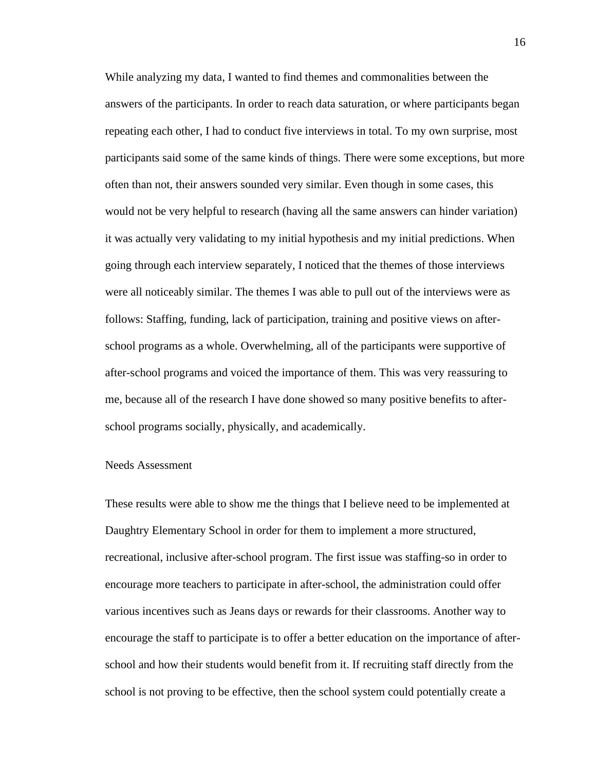While analyzing my data, I wanted to find themes and commonalities between the answers of the participants. In order to reach data saturation, or where participants began repeating each other, I had to conduct five interviews in total. To my own surprise, most participants said some of the same kinds of things. There were some exceptions, but more often than not, their answers sounded very similar. Even though in some cases, this would not be very helpful to research (having all the same answers can hinder variation) it was actually very validating to my initial hypothesis and my initial predictions. When going through each interview separately, I noticed that the themes of those interviews were all noticeably similar. The themes I was able to pull out of the interviews were as follows: Staffing, funding, lack of participation, training and positive views on afterschool programs as a whole. Overwhelming, all of the participants were supportive of after-school programs and voiced the importance of them. This was very reassuring to me, because all of the research I have done showed so many positive benefits to afterschool programs socially, physically, and academically.

#### Needs Assessment

These results were able to show me the things that I believe need to be implemented at Daughtry Elementary School in order for them to implement a more structured, recreational, inclusive after-school program. The first issue was staffing-so in order to encourage more teachers to participate in after-school, the administration could offer various incentives such as Jeans days or rewards for their classrooms. Another way to encourage the staff to participate is to offer a better education on the importance of afterschool and how their students would benefit from it. If recruiting staff directly from the school is not proving to be effective, then the school system could potentially create a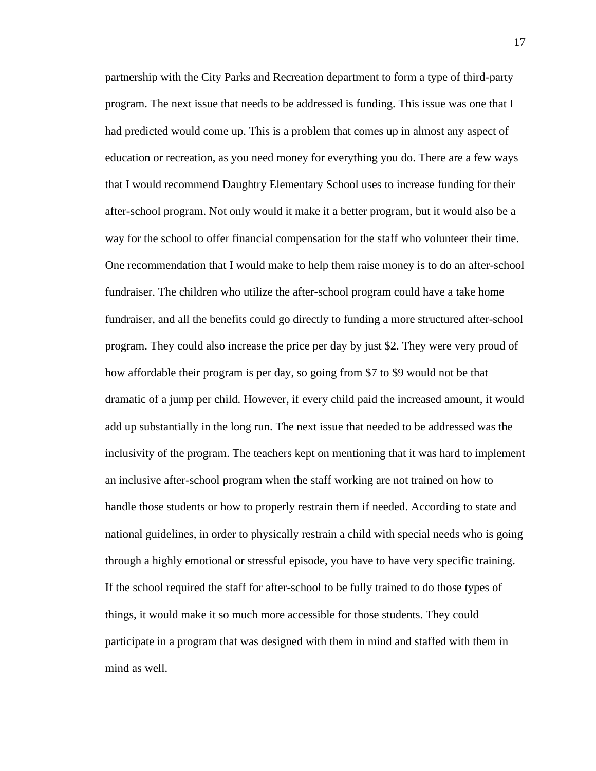partnership with the City Parks and Recreation department to form a type of third-party program. The next issue that needs to be addressed is funding. This issue was one that I had predicted would come up. This is a problem that comes up in almost any aspect of education or recreation, as you need money for everything you do. There are a few ways that I would recommend Daughtry Elementary School uses to increase funding for their after-school program. Not only would it make it a better program, but it would also be a way for the school to offer financial compensation for the staff who volunteer their time. One recommendation that I would make to help them raise money is to do an after-school fundraiser. The children who utilize the after-school program could have a take home fundraiser, and all the benefits could go directly to funding a more structured after-school program. They could also increase the price per day by just \$2. They were very proud of how affordable their program is per day, so going from \$7 to \$9 would not be that dramatic of a jump per child. However, if every child paid the increased amount, it would add up substantially in the long run. The next issue that needed to be addressed was the inclusivity of the program. The teachers kept on mentioning that it was hard to implement an inclusive after-school program when the staff working are not trained on how to handle those students or how to properly restrain them if needed. According to state and national guidelines, in order to physically restrain a child with special needs who is going through a highly emotional or stressful episode, you have to have very specific training. If the school required the staff for after-school to be fully trained to do those types of things, it would make it so much more accessible for those students. They could participate in a program that was designed with them in mind and staffed with them in mind as well.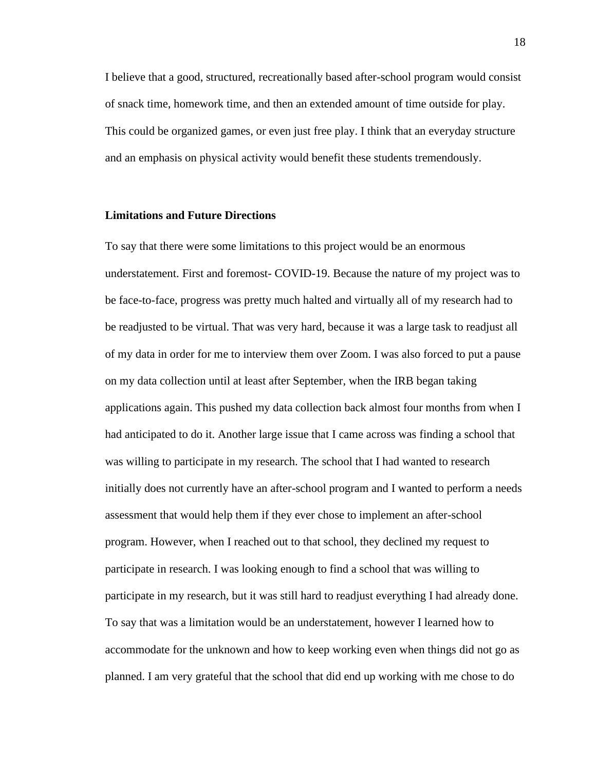I believe that a good, structured, recreationally based after-school program would consist of snack time, homework time, and then an extended amount of time outside for play. This could be organized games, or even just free play. I think that an everyday structure and an emphasis on physical activity would benefit these students tremendously.

#### **Limitations and Future Directions**

To say that there were some limitations to this project would be an enormous understatement. First and foremost- COVID-19. Because the nature of my project was to be face-to-face, progress was pretty much halted and virtually all of my research had to be readjusted to be virtual. That was very hard, because it was a large task to readjust all of my data in order for me to interview them over Zoom. I was also forced to put a pause on my data collection until at least after September, when the IRB began taking applications again. This pushed my data collection back almost four months from when I had anticipated to do it. Another large issue that I came across was finding a school that was willing to participate in my research. The school that I had wanted to research initially does not currently have an after-school program and I wanted to perform a needs assessment that would help them if they ever chose to implement an after-school program. However, when I reached out to that school, they declined my request to participate in research. I was looking enough to find a school that was willing to participate in my research, but it was still hard to readjust everything I had already done. To say that was a limitation would be an understatement, however I learned how to accommodate for the unknown and how to keep working even when things did not go as planned. I am very grateful that the school that did end up working with me chose to do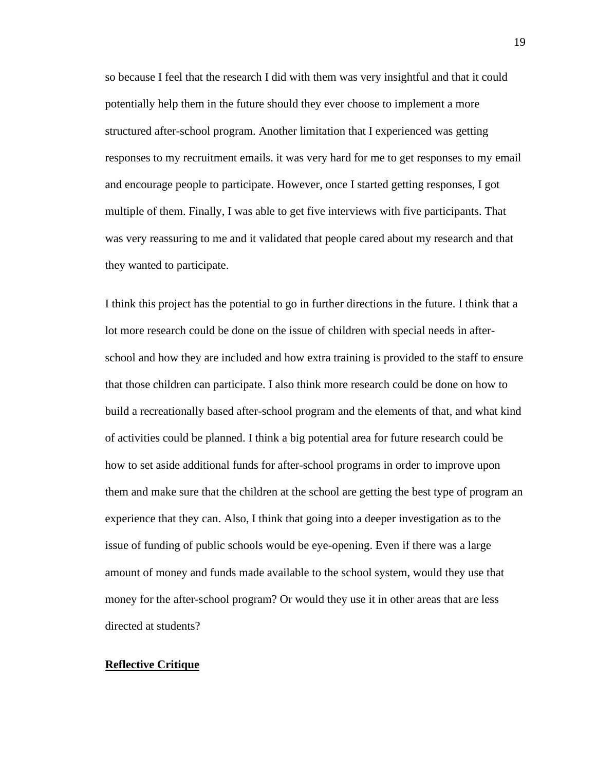so because I feel that the research I did with them was very insightful and that it could potentially help them in the future should they ever choose to implement a more structured after-school program. Another limitation that I experienced was getting responses to my recruitment emails. it was very hard for me to get responses to my email and encourage people to participate. However, once I started getting responses, I got multiple of them. Finally, I was able to get five interviews with five participants. That was very reassuring to me and it validated that people cared about my research and that they wanted to participate.

I think this project has the potential to go in further directions in the future. I think that a lot more research could be done on the issue of children with special needs in afterschool and how they are included and how extra training is provided to the staff to ensure that those children can participate. I also think more research could be done on how to build a recreationally based after-school program and the elements of that, and what kind of activities could be planned. I think a big potential area for future research could be how to set aside additional funds for after-school programs in order to improve upon them and make sure that the children at the school are getting the best type of program an experience that they can. Also, I think that going into a deeper investigation as to the issue of funding of public schools would be eye-opening. Even if there was a large amount of money and funds made available to the school system, would they use that money for the after-school program? Or would they use it in other areas that are less directed at students?

## **Reflective Critique**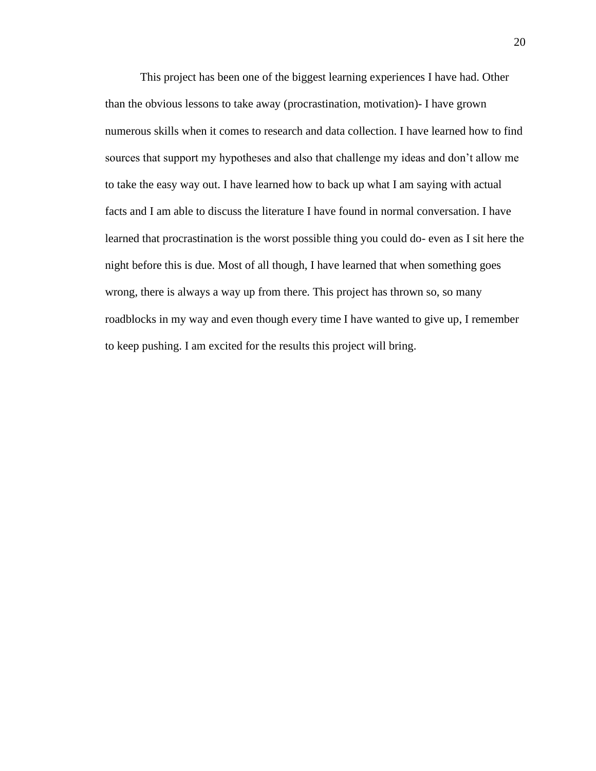This project has been one of the biggest learning experiences I have had. Other than the obvious lessons to take away (procrastination, motivation)- I have grown numerous skills when it comes to research and data collection. I have learned how to find sources that support my hypotheses and also that challenge my ideas and don't allow me to take the easy way out. I have learned how to back up what I am saying with actual facts and I am able to discuss the literature I have found in normal conversation. I have learned that procrastination is the worst possible thing you could do- even as I sit here the night before this is due. Most of all though, I have learned that when something goes wrong, there is always a way up from there. This project has thrown so, so many roadblocks in my way and even though every time I have wanted to give up, I remember to keep pushing. I am excited for the results this project will bring.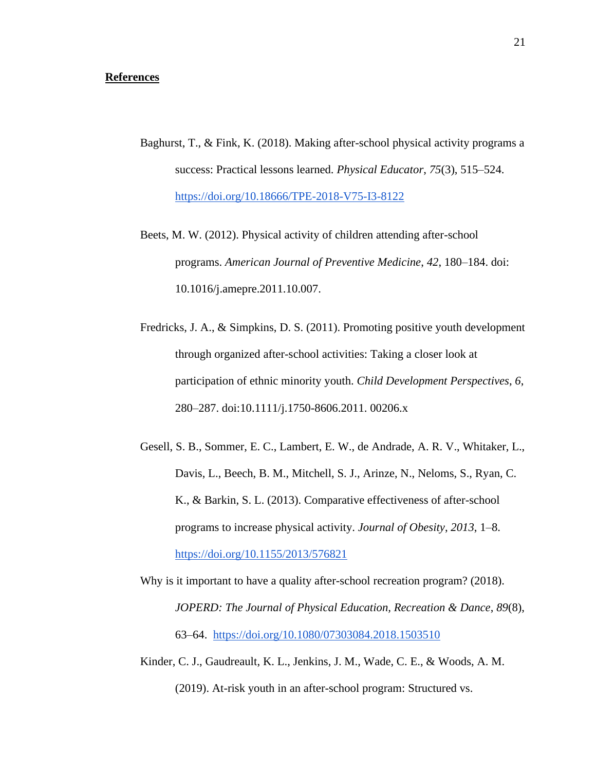## **References**

- Baghurst, T., & Fink, K. (2018). Making after-school physical activity programs a success: Practical lessons learned. *Physical Educator*, *75*(3), 515–524. <https://doi.org/10.18666/TPE-2018-V75-I3-8122>
- Beets, M. W. (2012). Physical activity of children attending after-school programs. *American Journal of Preventive Medicine*, *42*, 180–184. doi: 10.1016/j.amepre.2011.10.007.
- Fredricks, J. A., & Simpkins, D. S. (2011). Promoting positive youth development through organized after-school activities: Taking a closer look at participation of ethnic minority youth. *Child Development Perspectives*, *6*, 280–287. doi:10.1111/j.1750-8606.2011. 00206.x
- Gesell, S. B., Sommer, E. C., Lambert, E. W., de Andrade, A. R. V., Whitaker, L., Davis, L., Beech, B. M., Mitchell, S. J., Arinze, N., Neloms, S., Ryan, C. K., & Barkin, S. L. (2013). Comparative effectiveness of after-school programs to increase physical activity. *Journal of Obesity*, *2013*, 1–8[.](https://doi.org/10.1155/2013/576821) <https://doi.org/10.1155/2013/576821>
- Why is it important to have a quality after-school recreation program? (2018). *JOPERD: The Journal of Physical Education, Recreation & Dance*, *89*(8), 63–64.<https://doi.org/10.1080/07303084.2018.1503510>
- Kinder, C. J., Gaudreault, K. L., Jenkins, J. M., Wade, C. E., & Woods, A. M. (2019). At-risk youth in an after-school program: Structured vs.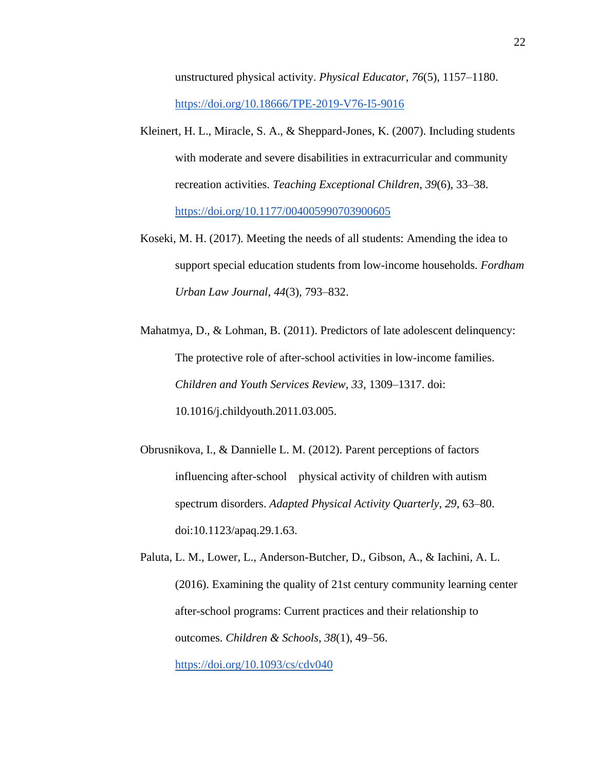unstructured physical activity. *Physical Educator*, *76*(5), 1157–1180[.](https://doi.org/10.18666/TPE-2019-V76-I5-9016) <https://doi.org/10.18666/TPE-2019-V76-I5-9016>

- Kleinert, H. L., Miracle, S. A., & Sheppard-Jones, K. (2007). Including students with moderate and severe disabilities in extracurricular and community recreation activities. *Teaching Exceptional Children*, *39*(6), 33–38[.](https://doi.org/10.1177/004005990703900605) <https://doi.org/10.1177/004005990703900605>
- Koseki, M. H. (2017). Meeting the needs of all students: Amending the idea to support special education students from low-income households. *Fordham Urban Law Journal*, *44*(3), 793–832.
- Mahatmya, D., & Lohman, B. (2011). Predictors of late adolescent delinquency: The protective role of after-school activities in low-income families. *Children and Youth Services Review, 33*, 1309–1317. doi: 10.1016/j.childyouth.2011.03.005.
- Obrusnikova, I., & Dannielle L. M. (2012). Parent perceptions of factors influencing after-school physical activity of children with autism spectrum disorders. *Adapted Physical Activity Quarterly, 29*, 63–80. doi:10.1123/apaq.29.1.63.
- Paluta, L. M., Lower, L., Anderson-Butcher, D., Gibson, A., & Iachini, A. L. (2016). Examining the quality of 21st century community learning center after-school programs: Current practices and their relationship to outcomes. *Children & Schools*, *38*(1), 49–56[.](https://doi.org/10.1093/cs/cdv040)

<https://doi.org/10.1093/cs/cdv040>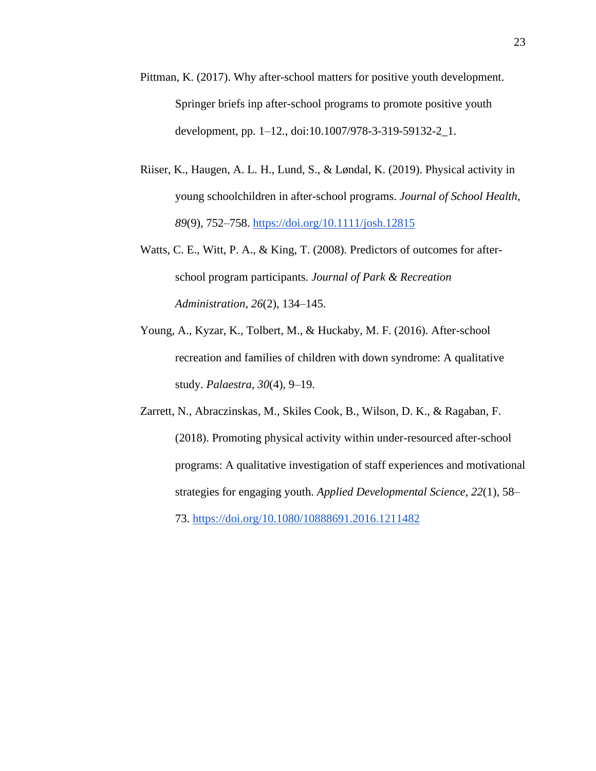- Pittman, K. (2017). Why after-school matters for positive youth development. Springer briefs inp after-school programs to promote positive youth development, pp. 1–12., doi:10.1007/978-3-319-59132-2\_1.
- Riiser, K., Haugen, A. L. H., Lund, S., & Løndal, K. (2019). Physical activity in young schoolchildren in after-school programs. *Journal of School Health*, *89*(9), 752–758. <https://doi.org/10.1111/josh.12815>
- Watts, C. E., Witt, P. A., & King, T. (2008). Predictors of outcomes for afterschool program participants. *Journal of Park & Recreation Administration*, *26*(2), 134–145.
- Young, A., Kyzar, K., Tolbert, M., & Huckaby, M. F. (2016). After-school recreation and families of children with down syndrome: A qualitative study. *Palaestra*, *30*(4), 9–19.
- Zarrett, N., Abraczinskas, M., Skiles Cook, B., Wilson, D. K., & Ragaban, F. (2018). Promoting physical activity within under-resourced after-school programs: A qualitative investigation of staff experiences and motivational strategies for engaging youth. *Applied Developmental Science*, *22*(1), 58– 73[.](https://doi.org/10.1080/10888691.2016.1211482) <https://doi.org/10.1080/10888691.2016.1211482>